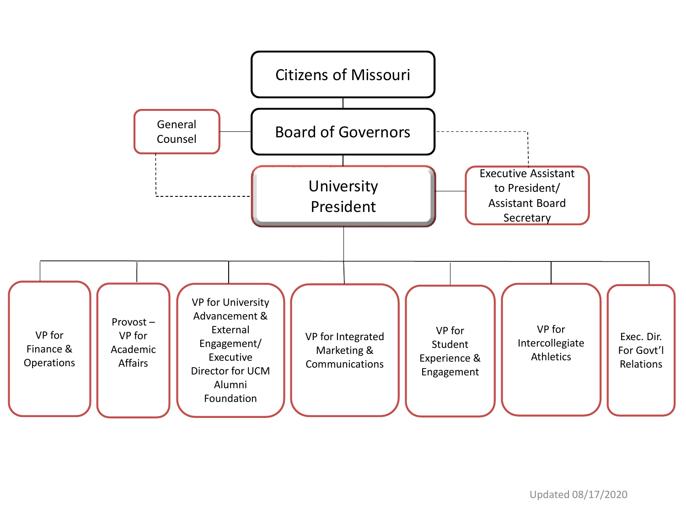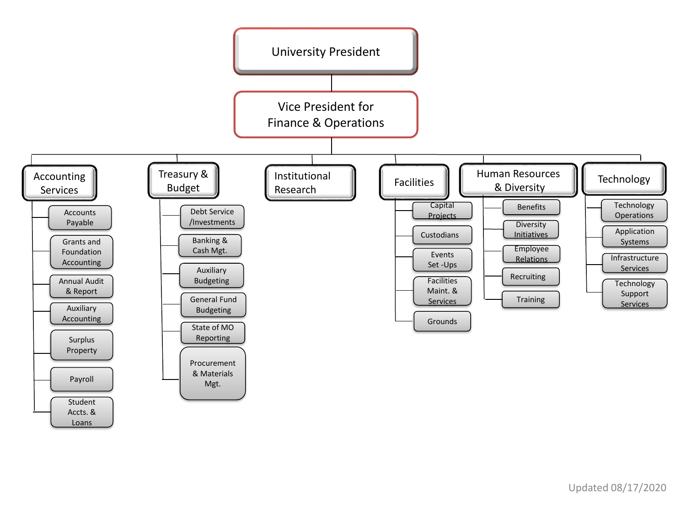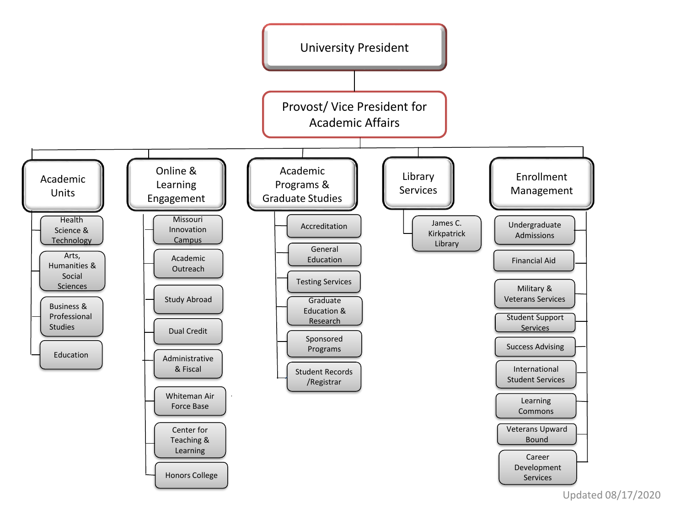

Updated 08/17/2020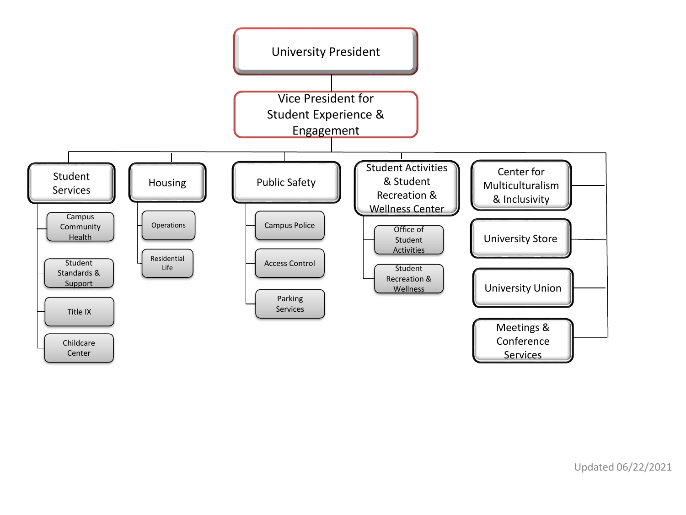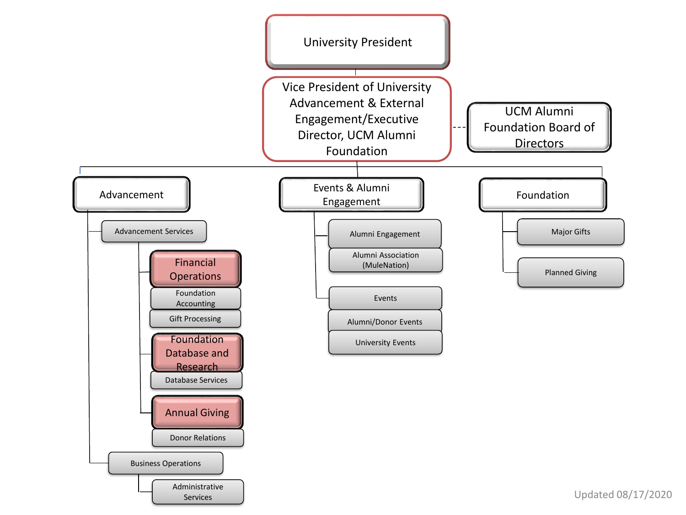

Updated 08/17/2020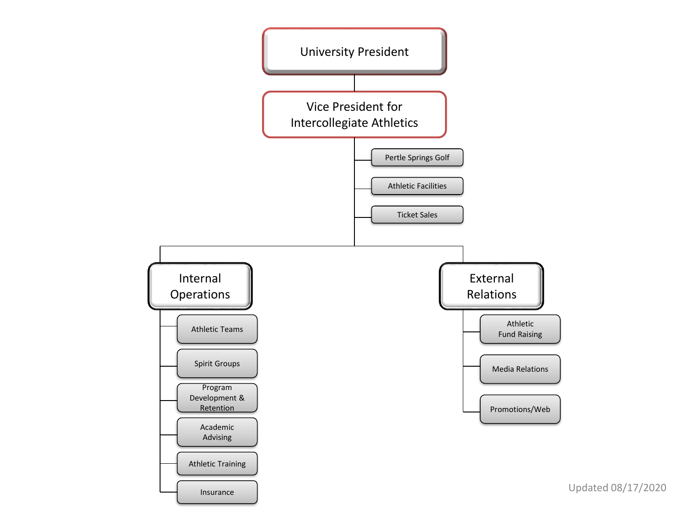

Updated 08/17/2020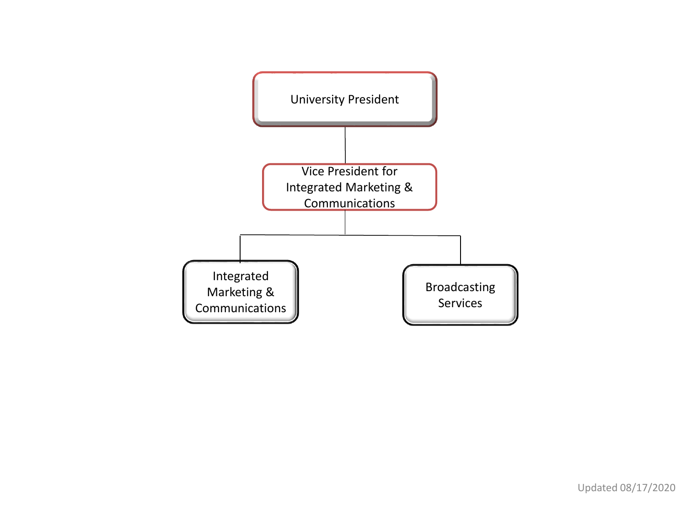